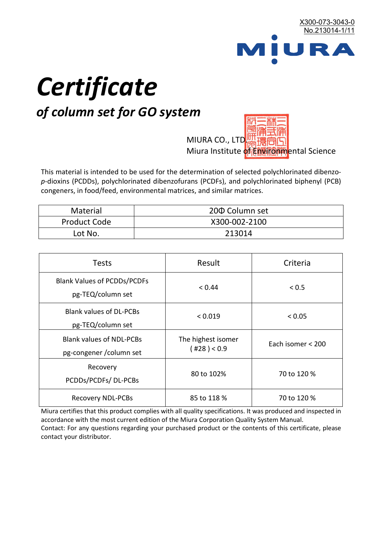

# *Certificate*

## *of column set for GO system*

MIURA CO., LTD. Miura Institute of 正版而解ental Science

This material is intended to be used for the determination of selected polychlorinated dibenzo*p*-dioxins (PCDDs), polychlorinated dibenzofurans (PCDFs), and polychlorinated biphenyl (PCB) congeners, in food/feed, environmental matrices, and similar matrices.

| <b>Material</b>     | 200 Column set |  |
|---------------------|----------------|--|
| <b>Product Code</b> | X300-002-2100  |  |
| Lot No.             | 213014         |  |

| <b>Tests</b>                                                | Result                            | Criteria          |
|-------------------------------------------------------------|-----------------------------------|-------------------|
| <b>Blank Values of PCDDs/PCDFs</b><br>pg-TEQ/column set     | < 0.44                            | ${}_{0.5}$        |
| <b>Blank values of DL-PCBs</b><br>pg-TEQ/column set         | < 0.019                           | < 0.05            |
| <b>Blank values of NDL-PCBs</b><br>pg-congener / column set | The highest isomer<br>(428) < 0.9 | Each isomer < 200 |
| Recovery<br>PCDDs/PCDFs/DL-PCBs                             | 80 to 102%                        | 70 to 120 %       |
| <b>Recovery NDL-PCBs</b>                                    | 85 to 118 %                       | 70 to 120 %       |

Miura certifies that this product complies with all quality specifications. It was produced and inspected in accordance with the most current edition of the Miura Corporation Quality System Manual. Contact: For any questions regarding your purchased product or the contents of this certificate, please contact your distributor.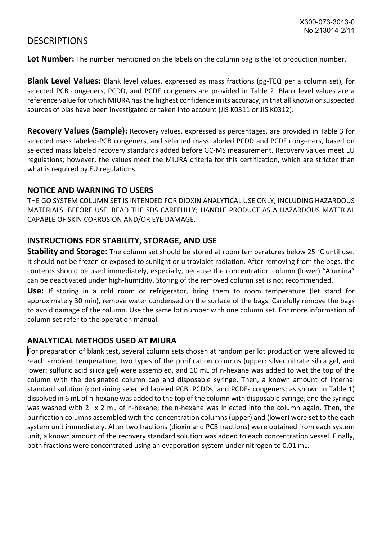### **DESCRIPTIONS**

**Lot Number:** The number mentioned on the labels on the column bag is the lot production number.

**Blank Level Values:** Blank level values, expressed as mass fractions (pg-TEQ per a column set), for selected PCB congeners, PCDD, and PCDF congeners are provided in Table 2. Blank level values are a reference value for which MIURA has the highest confidence in its accuracy, in that all known or suspected sources of bias have been investigated or taken into account (JIS K0311 or JIS K0312).

**Recovery Values (Sample):** Recovery values, expressed as percentages, are provided in Table 3 for selected mass labeled-PCB congeners, and selected mass labeled PCDD and PCDF congeners, based on selected mass labeled recovery standards added before GC-MS measurement. Recovery values meet EU regulations; however, the values meet the MIURA criteria for this certification, which are stricter than what is required by EU regulations.

#### **NOTICE AND WARNING TO USERS**

THE GO SYSTEM COLUMN SET IS INTENDED FOR DIOXIN ANALYTICAL USE ONLY, INCLUDING HAZARDOUS MATERIALS. BEFORE USE, READ THE SDS CAREFULLY; HANDLE PRODUCT AS A HAZARDOUS MATERIAL CAPABLE OF SKIN CORROSION AND/OR EYE DAMAGE.

#### **INSTRUCTIONS FOR STABILITY, STORAGE, AND USE**

**Stability and Storage:** The column set should be stored at room temperatures below 25 °C until use. It should not be frozen or exposed to sunlight or ultraviolet radiation. After removing from the bags, the contents should be used immediately, especially, because the concentration column (lower) "Alumina" can be deactivated under high-humidity. Storing of the removed column set is not recommended.

**Use:** If storing in a cold room or refrigerator, bring them to room temperature (let stand for approximately 30 min), remove water condensed on the surface of the bags. Carefully remove the bags to avoid damage of the column. Use the same lot number with one column set. For more information of column set refer to the operation manual.

#### **ANALYTICAL METHODS USED AT MIURA**

For preparation of blank test, several column sets chosen at random per lot production were allowed to reach ambient temperature; two types of the purification columns (upper: silver nitrate silica gel, and lower: sulfuric acid silica gel) were assembled, and 10 mL of n-hexane was added to wet the top of the column with the designated column cap and disposable syringe. Then, a known amount of internal standard solution (containing selected labeled PCB, PCDDs, and PCDFs congeners; as shown in Table 1) dissolved in 6 mL of n-hexane was added to the top of the column with disposable syringe, and the syringe was washed with 2 x 2 mL of n-hexane; the n-hexane was injected into the column again. Then, the purification columns assembled with the concentration columns (upper) and (lower) were set to the each system unit immediately. After two fractions (dioxin and PCB fractions) were obtained from each system unit, a known amount of the recovery standard solution was added to each concentration vessel. Finally, both fractions were concentrated using an evaporation system under nitrogen to 0.01 mL.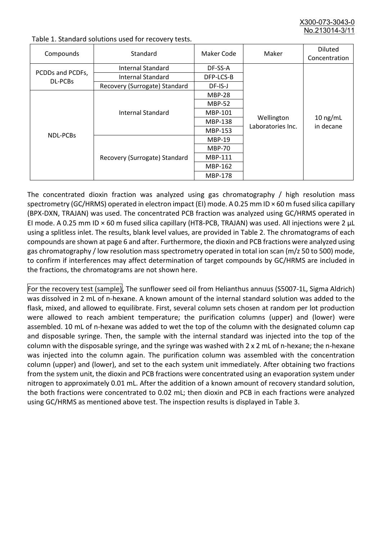X300-073-3043-0 No.213014-3/11

| Compounds                          | Standard                              | Maker Code     | Maker                           | <b>Diluted</b><br>Concentration |
|------------------------------------|---------------------------------------|----------------|---------------------------------|---------------------------------|
| PCDDs and PCDFs,<br><b>DL-PCBs</b> | Internal Standard                     | DF-SS-A        |                                 |                                 |
|                                    | <b>Internal Standard</b><br>DFP-LCS-B |                |                                 |                                 |
|                                    | Recovery (Surrogate) Standard         | DF-IS-J        | Wellington<br>Laboratories Inc. | $10$ ng/mL<br>in decane         |
| <b>NDL-PCBs</b>                    | Internal Standard                     | <b>MBP-28</b>  |                                 |                                 |
|                                    |                                       | <b>MBP-52</b>  |                                 |                                 |
|                                    |                                       | MBP-101        |                                 |                                 |
|                                    |                                       | <b>MBP-138</b> |                                 |                                 |
|                                    |                                       | MBP-153        |                                 |                                 |
|                                    | Recovery (Surrogate) Standard         | <b>MBP-19</b>  |                                 |                                 |
|                                    |                                       | <b>MBP-70</b>  |                                 |                                 |
|                                    |                                       | MBP-111        |                                 |                                 |
|                                    |                                       | MBP-162        |                                 |                                 |
|                                    |                                       | <b>MBP-178</b> |                                 |                                 |

Table 1. Standard solutions used for recovery tests.

The concentrated dioxin fraction was analyzed using gas chromatography / high resolution mass spectrometry (GC/HRMS) operated in electron impact (EI) mode. A 0.25 mm ID × 60 m fused silica capillary (BPX-DXN, TRAJAN) was used. The concentrated PCB fraction was analyzed using GC/HRMS operated in EI mode. A 0.25 mm ID × 60 m fused silica capillary (HT8-PCB, TRAJAN) was used. All injections were 2 μL using a splitless inlet. The results, blank level values, are provided in Table 2. The chromatograms of each compounds are shown at page 6 and after. Furthermore, the dioxin and PCB fractions were analyzed using gas chromatography / low resolution mass spectrometry operated in total ion scan (m/z 50 to 500) mode, to confirm if interferences may affect determination of target compounds by GC/HRMS are included in the fractions, the chromatograms are not shown here.

For the recovery test (sample), The sunflower seed oil from Helianthus annuus (S5007-1L, Sigma Aldrich) was dissolved in 2 mL of n-hexane. A known amount of the internal standard solution was added to the flask, mixed, and allowed to equilibrate. First, several column sets chosen at random per lot production were allowed to reach ambient temperature; the purification columns (upper) and (lower) were assembled. 10 mL of n-hexane was added to wet the top of the column with the designated column cap and disposable syringe. Then, the sample with the internal standard was injected into the top of the column with the disposable syringe, and the syringe was washed with 2 x 2 mL of n-hexane; the n-hexane was injected into the column again. The purification column was assembled with the concentration column (upper) and (lower), and set to the each system unit immediately. After obtaining two fractions from the system unit, the dioxin and PCB fractions were concentrated using an evaporation system under nitrogen to approximately 0.01 mL. After the addition of a known amount of recovery standard solution, the both fractions were concentrated to 0.02 mL; then dioxin and PCB in each fractions were analyzed using GC/HRMS as mentioned above test. The inspection results is displayed in Table 3.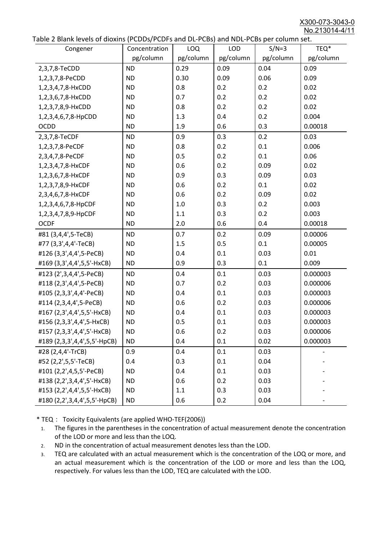X300-073-3043-0 No.213014-4/11

|  | Table 2 Blank levels of dioxins (PCDDs/PCDFs and DL-PCBs) and NDL-PCBs per column set. |
|--|----------------------------------------------------------------------------------------|
|--|----------------------------------------------------------------------------------------|

| abic 2 Diarik icveis of dioxins (I CDD3/TCDTs and DET CD3/ and NDET CD3 pcr column sett.<br>Congener | Concentration | <b>LOQ</b> | <b>LOD</b> | $S/N=3$   | TEQ*      |
|------------------------------------------------------------------------------------------------------|---------------|------------|------------|-----------|-----------|
|                                                                                                      | pg/column     | pg/column  | pg/column  | pg/column | pg/column |
| 2,3,7,8-TeCDD                                                                                        | <b>ND</b>     | 0.29       | 0.09       | 0.04      | 0.09      |
| 1,2,3,7,8-PeCDD                                                                                      | <b>ND</b>     | 0.30       | 0.09       | 0.06      | 0.09      |
| 1,2,3,4,7,8-HxCDD                                                                                    | <b>ND</b>     | 0.8        | 0.2        | 0.2       | 0.02      |
| 1,2,3,6,7,8-HxCDD                                                                                    | <b>ND</b>     | 0.7        | 0.2        | 0.2       | 0.02      |
| 1,2,3,7,8,9-HxCDD                                                                                    | <b>ND</b>     | 0.8        | 0.2        | 0.2       | 0.02      |
| 1,2,3,4,6,7,8-HpCDD                                                                                  | <b>ND</b>     | 1.3        | 0.4        | 0.2       | 0.004     |
| <b>OCDD</b>                                                                                          | <b>ND</b>     | 1.9        | 0.6        | 0.3       | 0.00018   |
| 2,3,7,8-TeCDF                                                                                        | <b>ND</b>     | 0.9        | 0.3        | 0.2       | 0.03      |
| 1,2,3,7,8-PeCDF                                                                                      | <b>ND</b>     | 0.8        | 0.2        | 0.1       | 0.006     |
| 2,3,4,7,8-PeCDF                                                                                      | <b>ND</b>     | 0.5        | 0.2        | 0.1       | 0.06      |
| 1,2,3,4,7,8-HxCDF                                                                                    | <b>ND</b>     | 0.6        | 0.2        | 0.09      | 0.02      |
| 1,2,3,6,7,8-HxCDF                                                                                    | <b>ND</b>     | 0.9        | 0.3        | 0.09      | 0.03      |
| 1,2,3,7,8,9-HxCDF                                                                                    | <b>ND</b>     | 0.6        | 0.2        | 0.1       | 0.02      |
| 2,3,4,6,7,8-HxCDF                                                                                    | <b>ND</b>     | 0.6        | 0.2        | 0.09      | 0.02      |
| 1,2,3,4,6,7,8-HpCDF                                                                                  | <b>ND</b>     | 1.0        | 0.3        | 0.2       | 0.003     |
| 1,2,3,4,7,8,9-HpCDF                                                                                  | <b>ND</b>     | 1.1        | 0.3        | 0.2       | 0.003     |
| <b>OCDF</b>                                                                                          | <b>ND</b>     | 2.0        | 0.6        | 0.4       | 0.00018   |
| #81 (3,4,4',5-TeCB)                                                                                  | <b>ND</b>     | 0.7        | 0.2        | 0.09      | 0.00006   |
| #77 (3,3',4,4'-TeCB)                                                                                 | <b>ND</b>     | 1.5        | 0.5        | 0.1       | 0.00005   |
| #126 (3,3',4,4',5-PeCB)                                                                              | <b>ND</b>     | 0.4        | 0.1        | 0.03      | 0.01      |
| #169 (3,3',4,4',5,5'-HxCB)                                                                           | <b>ND</b>     | 0.9        | 0.3        | 0.1       | 0.009     |
| #123 (2',3,4,4',5-PeCB)                                                                              | <b>ND</b>     | 0.4        | 0.1        | 0.03      | 0.000003  |
| #118 (2,3',4,4',5-PeCB)                                                                              | <b>ND</b>     | 0.7        | 0.2        | 0.03      | 0.000006  |
| #105 (2,3,3',4,4'-PeCB)                                                                              | <b>ND</b>     | 0.4        | 0.1        | 0.03      | 0.000003  |
| #114 (2,3,4,4',5-PeCB)                                                                               | <b>ND</b>     | 0.6        | 0.2        | 0.03      | 0.000006  |
| #167 (2,3',4,4',5,5'-HxCB)                                                                           | <b>ND</b>     | 0.4        | 0.1        | 0.03      | 0.000003  |
| #156 (2,3,3',4,4',5-HxCB)                                                                            | <b>ND</b>     | 0.5        | 0.1        | 0.03      | 0.000003  |
| #157 (2,3,3',4,4',5'-HxCB)                                                                           | <b>ND</b>     | 0.6        | 0.2        | 0.03      | 0.000006  |
| #189 (2,3,3',4,4',5,5'-HpCB)                                                                         | <b>ND</b>     | 0.4        | 0.1        | 0.02      | 0.000003  |
| #28 (2,4,4'-TrCB)                                                                                    | 0.9           | 0.4        | 0.1        | 0.03      |           |
| #52 (2,2',5,5'-TeCB)                                                                                 | 0.4           | 0.3        | 0.1        | 0.04      |           |
| #101 (2,2',4,5,5'-PeCB)                                                                              | <b>ND</b>     | 0.4        | 0.1        | 0.03      |           |
| #138 (2,2',3,4,4',5'-HxCB)                                                                           | <b>ND</b>     | 0.6        | 0.2        | 0.03      |           |
| #153 (2,2',4,4',5,5'-HxCB)                                                                           | <b>ND</b>     | 1.1        | 0.3        | 0.03      |           |
| #180 (2,2',3,4,4',5,5'-HpCB)                                                                         | <b>ND</b>     | 0.6        | 0.2        | 0.04      |           |

\* TEQ: Toxicity Equivalents (are applied WHO-TEF(2006))

- 1. The figures in the parentheses in the concentration of actual measurement denote the concentration of the LOD or more and less than the LOQ.
- 2. ND in the concentration of actual measurement denotes less than the LOD.
- 3. TEQ are calculated with an actual measurement which is the concentration of the LOQ or more, and an actual measurement which is the concentration of the LOD or more and less than the LOQ, respectively. For values less than the LOD, TEQ are calculated with the LOD.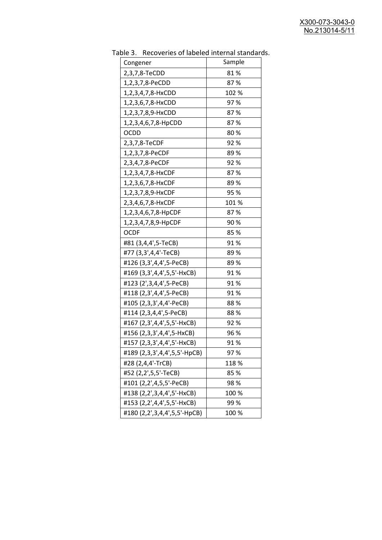| יכ אומג<br><b>INCLOVEDIES OF REDETED THEFTIME SCATION</b> |        |
|-----------------------------------------------------------|--------|
| Congener                                                  | Sample |
| 2,3,7,8-TeCDD                                             | 81%    |
| 1,2,3,7,8-PeCDD                                           | 87%    |
| 1,2,3,4,7,8-HxCDD                                         | 102 %  |
| 1,2,3,6,7,8-HxCDD                                         | 97%    |
| 1,2,3,7,8,9-HxCDD                                         | 87%    |
| 1,2,3,4,6,7,8-HpCDD                                       | 87%    |
| <b>OCDD</b>                                               | 80%    |
| 2,3,7,8-TeCDF                                             | 92%    |
| 1,2,3,7,8-PeCDF                                           | 89%    |
| 2,3,4,7,8-PeCDF                                           | 92%    |
| 1,2,3,4,7,8-HxCDF                                         | 87%    |
| 1,2,3,6,7,8-HxCDF                                         | 89%    |
| 1,2,3,7,8,9-HxCDF                                         | 95 %   |
| 2,3,4,6,7,8-HxCDF                                         | 101%   |
| 1,2,3,4,6,7,8-HpCDF                                       | 87%    |
| 1,2,3,4,7,8,9-HpCDF                                       | 90%    |
| <b>OCDF</b>                                               | 85%    |
| #81 (3,4,4',5-TeCB)                                       | 91%    |
| #77 (3,3',4,4'-TeCB)                                      | 89%    |
| #126 (3,3',4,4',5-PeCB)                                   | 89%    |
| #169 (3,3',4,4',5,5'-HxCB)                                | 91%    |
| #123 (2', 3, 4, 4', 5-PeCB)                               | 91%    |
| #118 (2,3',4,4',5-PeCB)                                   | 91%    |
| #105 (2,3,3',4,4'-PeCB)                                   | 88%    |
| #114 (2,3,4,4',5-PeCB)                                    | 88%    |
| #167 (2,3',4,4',5,5'-HxCB)                                | 92%    |
| #156 (2,3,3',4,4',5-HxCB)                                 | 96 %   |
| #157 (2,3,3',4,4',5'-HxCB)                                | 91 %   |
| #189 (2,3,3',4,4',5,5'-HpCB)                              | 97%    |
| #28 (2,4,4'-TrCB)                                         | 118 %  |
| #52 (2,2',5,5'-TeCB)                                      | 85 %   |
| #101 (2,2',4,5,5'-PeCB)                                   | 98%    |
| #138 (2,2',3,4,4',5'-HxCB)                                | 100 %  |
| #153 (2,2',4,4',5,5'-HxCB)                                | 99%    |
| #180 (2,2',3,4,4',5,5'-HpCB)                              | 100 %  |

Table 3. Recoveries of labeled internal standards.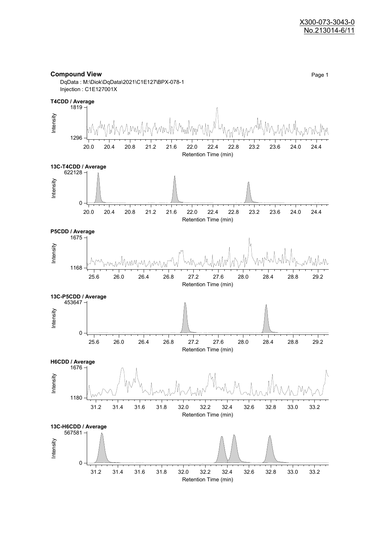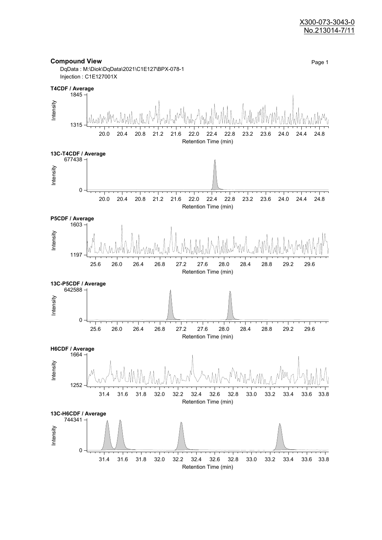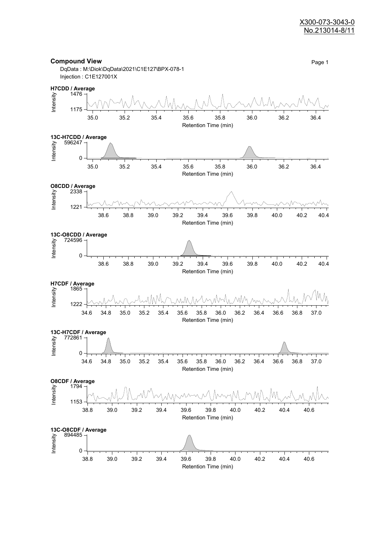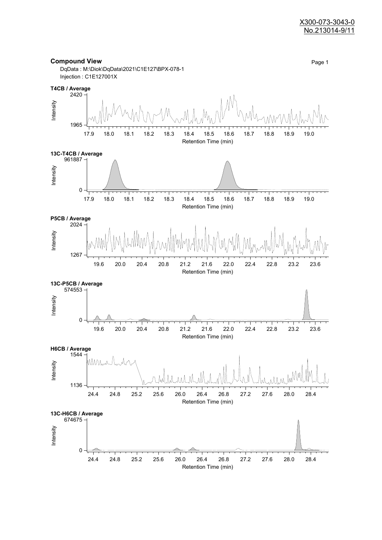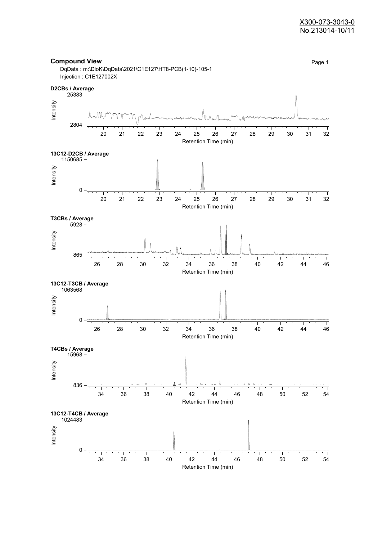